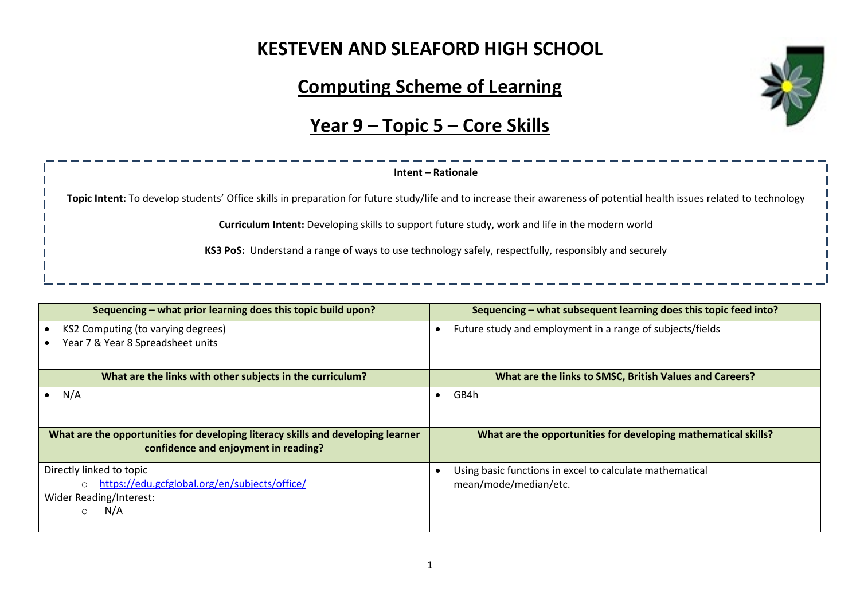#### **KESTEVEN AND SLEAFORD HIGH SCHOOL**

### **Computing Scheme of Learning**

# **Year 9 – Topic 5 – Core Skills**

# **Intent – Rationale Topic Intent:** To develop students' Office skills in preparation for future study/life and to increase their awareness of potential health issues related to technology **Curriculum Intent:** Developing skills to support future study, work and life in the modern world **KS3 PoS:** Understand a range of ways to use technology safely, respectfully, responsibly and securely

| Sequencing - what prior learning does this topic build upon?                                                                   | Sequencing - what subsequent learning does this topic feed into?                  |  |  |
|--------------------------------------------------------------------------------------------------------------------------------|-----------------------------------------------------------------------------------|--|--|
| KS2 Computing (to varying degrees)<br>Year 7 & Year 8 Spreadsheet units                                                        | Future study and employment in a range of subjects/fields                         |  |  |
| What are the links with other subjects in the curriculum?                                                                      | What are the links to SMSC, British Values and Careers?                           |  |  |
| N/A                                                                                                                            | GB4h<br>$\bullet$                                                                 |  |  |
| What are the opportunities for developing literacy skills and developing learner<br>confidence and enjoyment in reading?       | What are the opportunities for developing mathematical skills?                    |  |  |
| Directly linked to topic<br>https://edu.gcfglobal.org/en/subjects/office/<br>$\bigcirc$<br>Wider Reading/Interest:<br>N/A<br>∩ | Using basic functions in excel to calculate mathematical<br>mean/mode/median/etc. |  |  |

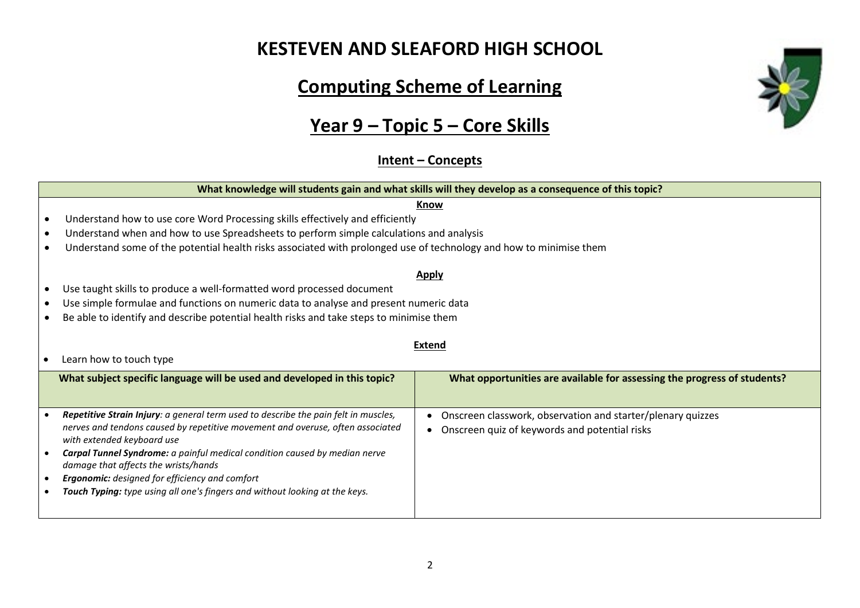### **KESTEVEN AND SLEAFORD HIGH SCHOOL**

# **Computing Scheme of Learning**

# **Year 9 – Topic 5 – Core Skills**

#### **Intent – Concepts**